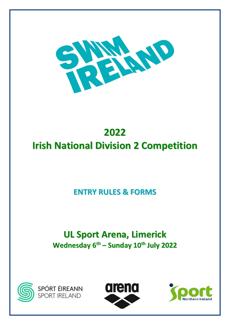

# **2022 Irish National Division 2 Competition**

## **ENTRY RULES & FORMS**

# **UL Sport Arena, Limerick Wednesday 6 th – Sunday 10 th July 2022**





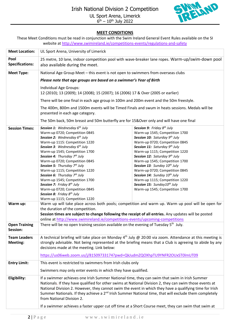

#### **MEET CONDITIONS**

These Meet Conditions must be read in conjunction with the Swim Ireland General Event Rules available on the SI website a[t http://www.swimireland.ie/competitions-events/regulations-and-safety](http://www.swimireland.ie/competitions-events/regulations-and-safety)

| <b>Meet Location:</b>             | UL Sport Arena, University of Limerick                                                                                                                                                                                                                                                                                                                                                                                                                                                                                                                                                                                                      |                                                                                                                                                                                                                                                                                                                                                                                                                                                                                                                                                                                                                                 |  |  |  |  |  |
|-----------------------------------|---------------------------------------------------------------------------------------------------------------------------------------------------------------------------------------------------------------------------------------------------------------------------------------------------------------------------------------------------------------------------------------------------------------------------------------------------------------------------------------------------------------------------------------------------------------------------------------------------------------------------------------------|---------------------------------------------------------------------------------------------------------------------------------------------------------------------------------------------------------------------------------------------------------------------------------------------------------------------------------------------------------------------------------------------------------------------------------------------------------------------------------------------------------------------------------------------------------------------------------------------------------------------------------|--|--|--|--|--|
| Pool<br><b>Specifications:</b>    | 25 metre, 10 lane, indoor competition pool with wave-breaker lane ropes. Warm-up/swim-down pool<br>also available during the meet.                                                                                                                                                                                                                                                                                                                                                                                                                                                                                                          |                                                                                                                                                                                                                                                                                                                                                                                                                                                                                                                                                                                                                                 |  |  |  |  |  |
| <b>Meet Type:</b>                 | National Age Group Meet - this event is not open to swimmers from overseas clubs                                                                                                                                                                                                                                                                                                                                                                                                                                                                                                                                                            |                                                                                                                                                                                                                                                                                                                                                                                                                                                                                                                                                                                                                                 |  |  |  |  |  |
|                                   | Please note that age groups are based on a swimmer's Year of Birth                                                                                                                                                                                                                                                                                                                                                                                                                                                                                                                                                                          |                                                                                                                                                                                                                                                                                                                                                                                                                                                                                                                                                                                                                                 |  |  |  |  |  |
|                                   | Individual Age Groups:                                                                                                                                                                                                                                                                                                                                                                                                                                                                                                                                                                                                                      |                                                                                                                                                                                                                                                                                                                                                                                                                                                                                                                                                                                                                                 |  |  |  |  |  |
|                                   | 12 (2010); 13 (2009); 14 (2008); 15 (2007); 16 (2006) 17 & Over (2005 or earlier)                                                                                                                                                                                                                                                                                                                                                                                                                                                                                                                                                           |                                                                                                                                                                                                                                                                                                                                                                                                                                                                                                                                                                                                                                 |  |  |  |  |  |
|                                   | There will be one final in each age group in 100m and 200m event and the 50m freestyle.                                                                                                                                                                                                                                                                                                                                                                                                                                                                                                                                                     |                                                                                                                                                                                                                                                                                                                                                                                                                                                                                                                                                                                                                                 |  |  |  |  |  |
|                                   | The 400m, 800m and 1500m events will be Timed Finals and swum in heats sessions. Medals will be<br>presented in each age category.                                                                                                                                                                                                                                                                                                                                                                                                                                                                                                          |                                                                                                                                                                                                                                                                                                                                                                                                                                                                                                                                                                                                                                 |  |  |  |  |  |
|                                   | The 50m back, 50m breast and 50m butterfly are for 15&Over only and will have one final                                                                                                                                                                                                                                                                                                                                                                                                                                                                                                                                                     |                                                                                                                                                                                                                                                                                                                                                                                                                                                                                                                                                                                                                                 |  |  |  |  |  |
| <b>Session Times:</b><br>Warm up: | <b>Session 1:</b> Wednesday $6^{th}$ July<br>Warm-up 0720; Competition 0845<br>Session 2: Wednesday 6 <sup>th</sup> July<br>Warm-up 1115: Competition 1220<br>Session 3: Wednesday 6 <sup>th</sup> July<br>Warm-up 1545; Competition 1700<br>Session 4: Thursday 7th July<br>Warm-up 0720; Competition 0845<br>Session 5: Thursday 7th July<br>Warm-up 1115; Competition 1220<br>Session 6: Thursday 7th July<br>Warm-up 1545; Competition 1700<br>Session 7: Friday 8 <sup>th</sup> July<br>Warm-up 0720; Competition 0845<br>Session 8: Friday 8 <sup>th</sup> July<br>Warm-up 1115; Competition 1220<br>the duration of the competition. | Session 9: Friday 8 <sup>th</sup> July<br>Warm-up 1545; Competition 1700<br>Session 10: Saturday 9th July<br>Warm-up 0720; Competition 0845<br>Session 11: Saturday 9th July<br>Warm-up 1115; Competition 1220<br>Session 12: Saturday 9th July<br>Warm-up 1545; Competition 1700<br>Session 13: Sunday 10 <sup>th</sup> July<br>Warm-up 0720; Competition 0845<br>Session 14: Sunday 10 <sup>th</sup> July<br>Warm-up 1115; Competition 1220<br>Session 15: Sunday10 <sup>th</sup> July<br>Warm-up 1545; Competition 1700<br>Warm up will take place across both pools; competition and warm up. Warm up pool will be open for |  |  |  |  |  |
|                                   | Session times are subject to change following the receipt of all entries. Any updates will be posted<br>online at http://www.swimireland.ie/competitions-events/upcoming-competitions                                                                                                                                                                                                                                                                                                                                                                                                                                                       |                                                                                                                                                                                                                                                                                                                                                                                                                                                                                                                                                                                                                                 |  |  |  |  |  |
| <b>Open Training</b><br>Session:  | There will be no open training session available on the evening of Tuesday 5 <sup>th</sup> July.                                                                                                                                                                                                                                                                                                                                                                                                                                                                                                                                            |                                                                                                                                                                                                                                                                                                                                                                                                                                                                                                                                                                                                                                 |  |  |  |  |  |
| <b>Team Leaders</b><br>Meeting:   | A technical briefing will take place on Monday $4th$ July @ 20:00 via zoom. Attendance at this meeting is<br>decisions made at the meeting. Link below:                                                                                                                                                                                                                                                                                                                                                                                                                                                                                     | strongly advisable. Not being represented at the briefing means that a Club is agreeing to abide by any                                                                                                                                                                                                                                                                                                                                                                                                                                                                                                                         |  |  |  |  |  |
|                                   | https://us06web.zoom.us/j/81509733174?pwd=QkJudmZQOXhpTU9YNFR2OUxST0lmUT09                                                                                                                                                                                                                                                                                                                                                                                                                                                                                                                                                                  |                                                                                                                                                                                                                                                                                                                                                                                                                                                                                                                                                                                                                                 |  |  |  |  |  |
| <b>Entry Limit:</b>               | This event is restricted to swimmers from Irish clubs only                                                                                                                                                                                                                                                                                                                                                                                                                                                                                                                                                                                  |                                                                                                                                                                                                                                                                                                                                                                                                                                                                                                                                                                                                                                 |  |  |  |  |  |
|                                   | Swimmers may only enter events in which they have qualified.                                                                                                                                                                                                                                                                                                                                                                                                                                                                                                                                                                                |                                                                                                                                                                                                                                                                                                                                                                                                                                                                                                                                                                                                                                 |  |  |  |  |  |
| Eligibility:                      | If a swimmer achieves one Irish Summer National time, they can swim that swim in Irish Summer<br>Nationals. If they have qualified for other swims at National Division 2, they can swim those events at<br>National Division 2. However, they cannot swim the event in which they have a qualifying time for Irish<br>Summer Nationals. If they achieve a 2 <sup>nd</sup> Irish Summer National time, that will exclude them completely<br>from National Division 2.                                                                                                                                                                       |                                                                                                                                                                                                                                                                                                                                                                                                                                                                                                                                                                                                                                 |  |  |  |  |  |
|                                   | If a swimmer achieves a faster upper cut off time at a Short Course meet, they can swim that swim at                                                                                                                                                                                                                                                                                                                                                                                                                                                                                                                                        |                                                                                                                                                                                                                                                                                                                                                                                                                                                                                                                                                                                                                                 |  |  |  |  |  |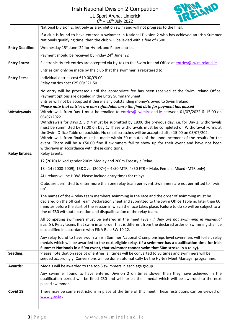### Irish National Division 2 Competition

UL Sport Arena, Limerick 6<sup>th</sup> – 10<sup>th</sup> July 2022



|                        | National Division 2, but only as a exhibition swim and will not progress to the final.                                                                                                                                                                                                                                                                                                                                                                                                                                                                                                           |
|------------------------|--------------------------------------------------------------------------------------------------------------------------------------------------------------------------------------------------------------------------------------------------------------------------------------------------------------------------------------------------------------------------------------------------------------------------------------------------------------------------------------------------------------------------------------------------------------------------------------------------|
|                        | If a club is found to have entered a swimmer in National Division 2 who has achieved an Irish Summer<br>Nationals qualifying time, then the club will be levied with a fine of €500.                                                                                                                                                                                                                                                                                                                                                                                                             |
| <b>Entry Deadline:</b> | Wednesday 15 <sup>th</sup> June '22 for Hy-tek and Paper entries.                                                                                                                                                                                                                                                                                                                                                                                                                                                                                                                                |
|                        | Payment should be received by Friday 24 <sup>th</sup> June '22                                                                                                                                                                                                                                                                                                                                                                                                                                                                                                                                   |
| <b>Entry Form:</b>     | Electronic Hy-tek entries are accepted via Hy-tek to the Swim Ireland Office at entries@swimireland.ie                                                                                                                                                                                                                                                                                                                                                                                                                                                                                           |
|                        | Entries can only be made by the club that the swimmer is registered to.                                                                                                                                                                                                                                                                                                                                                                                                                                                                                                                          |
| <b>Entry Fees:</b>     | Individual entries cost €10.00/£9.00<br>Relay entries cost €25.00/£21.50                                                                                                                                                                                                                                                                                                                                                                                                                                                                                                                         |
| <b>Withdrawals</b>     | No entry will be processed until the appropriate fee has been received at the Swim Ireland Office.<br>Payment options are detailed in the Entry Summary Sheet.<br>Entries will not be accepted if there is any outstanding money's owed to Swim Ireland.<br>Please note that entries are non-refundable once the final date for payment has passed<br>Withdrawals from Day 1 must be emailed to entries@swimireland.ie between 01/07/2022 & 15:00 on<br>05/07/2022.                                                                                                                              |
| <b>Relay Entries:</b>  | Withdrawals for Days 2, 3 & 4 must be submitted by 18:00 the previous day, i.e. for Day 2, withdrawals<br>must be summitted by 18:00 on Day 1. These withdrawals must be completed on Withdrawal Forms at<br>the Swim Office Table on poolside. No email scratches will be accepted after 15:00 on 05/07/202.<br>Withdrawals from finals must be made within 30 minutes of the announcement of the results for the<br>event. There will be a €50.00 fine if swimmers fail to show up for their event and have not been<br>withdrawn in accordance with these conditions.<br><b>Relay Events:</b> |
|                        | 12 (2010) Mixed gender 200m Medley and 200m Freestyle Relay                                                                                                                                                                                                                                                                                                                                                                                                                                                                                                                                      |
|                        | 13 - 14 (2008-2009); 15&Over (2007+) - 4x50 MTR, 4x50 FTR - Male, Female, Mixed (MTR only)                                                                                                                                                                                                                                                                                                                                                                                                                                                                                                       |
|                        | ALL relays will be HDW. Please include entry times for relays.                                                                                                                                                                                                                                                                                                                                                                                                                                                                                                                                   |
|                        | Clubs are permitted to enter more than one relay team per event. Swimmers are not permitted to "swim<br>up".                                                                                                                                                                                                                                                                                                                                                                                                                                                                                     |
|                        | The names of the 4 relay team members swimming in the race and the order of swimming must be<br>declared on the official Team Declaration Sheet and submitted to the Swim Office Table no later than 60<br>minutes before the start of the session in which the race takes place. Failure to do so will be subject to a<br>fine of €50 without exception and disqualification of the relay team.                                                                                                                                                                                                 |
|                        | All competing swimmers must be entered in the meet (even if they are not swimming in individual<br>events). Relay teams that swim in an order that is different from the declared order of swimming shall be<br>disqualified in accordance with FINA Rule SW 10.12.                                                                                                                                                                                                                                                                                                                              |
|                        | Any relay found to have swum a Irish Summer National Championships level swimmers will forfeit relay<br>medals which will be awarded to the next eligible relay. (If a swimmer has a qualification time for Irish<br>Summer Nationals in a 50m event, that swimmer cannot swim that 50m stroke in a relay).                                                                                                                                                                                                                                                                                      |
| Seeding:               | Please note that on receipt of entries, all times will be converted to SC times and swimmers will be<br>seeded accordingly. Conversions will be done automatically by the Hy-tek Meet Manager programme.                                                                                                                                                                                                                                                                                                                                                                                         |
| <b>Awards:</b>         | Medals will be awarded to the top 3 swimmers in each age group                                                                                                                                                                                                                                                                                                                                                                                                                                                                                                                                   |
|                        | Any swimmer found to have entered Division 2 on times slower than they have achieved in the<br>qualification period will be fined €50 and will forfeit their medal which will be awarded to the next<br>placed swimmer.                                                                                                                                                                                                                                                                                                                                                                          |
| Covid 19               | There may be some restrictions in place at the time of this meet. These restrictions can be viewed on<br>www.gov.ie                                                                                                                                                                                                                                                                                                                                                                                                                                                                              |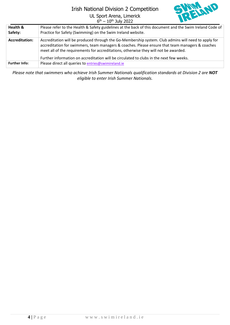### Irish National Division 2 Competition

UL Sport Arena, Limerick



|                       | $6th - 10th$ July 2022                                                                                                                                                                                                                                                                                                                                                                    |
|-----------------------|-------------------------------------------------------------------------------------------------------------------------------------------------------------------------------------------------------------------------------------------------------------------------------------------------------------------------------------------------------------------------------------------|
| Health &<br>Safety:   | Please refer to the Health & Safety guidelines at the back of this document and the Swim Ireland Code of<br>Practice for Safety (Swimming) on the Swim Ireland website.                                                                                                                                                                                                                   |
| <b>Accreditation:</b> | Accreditation will be produced through the Go-Membership system. Club admins will need to apply for<br>accreditation for swimmers, team managers & coaches. Please ensure that team managers & coaches<br>meet all of the requirements for accreditations, otherwise they will not be awarded.<br>Further information on accreditation will be circulated to clubs in the next few weeks. |
| <b>Further Info:</b>  | Please direct all queries to entries@swimireland.ie                                                                                                                                                                                                                                                                                                                                       |

*Please note that swimmers who achieve Irish Summer Nationals qualification standards at Division 2 are NOT eligible to enter Irish Summer Nationals.*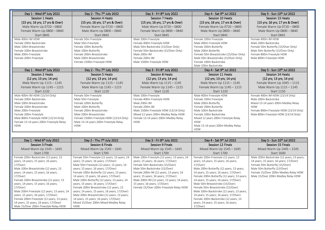| Day 1 - Wed 6th July 2022                          | Day 2 - Thu 7 <sup>th</sup> July 2022   | Day 3 - Fri 8th July 2022             | Day 4 - Sat 9th Jul 2022               | Day 5 - Sun 10th Jul 2022              |
|----------------------------------------------------|-----------------------------------------|---------------------------------------|----------------------------------------|----------------------------------------|
| Session 1 Heats                                    | <b>Session 4 Heats</b>                  | <b>Session 7 Heats</b>                | Session 10 Heats                       | Session 13 Heats                       |
| (15 yrs; 16 yrs; 17 yrs & Over)                    | (15 yrs; 16 yrs; 17 yrs & Over)         | (15 yrs; 16 yrs; 17 yrs & Over)       | (15 yrs; 16 yrs; 17 yrs & Over)        | (15 yrs; 16 yrs; 17 yrs & Over)        |
| Male Warm Up 0720 - 0800                           | Female Warm Up 0720 - 0800              | Male Warm Up 0720 - 0800              | Female Warm Up 0720 - 0800             | Female Warm Up 0720 - 0800             |
| Female Warm Up 0800 - 0840                         | Male Warm Up 0800 - 0840                | Female Warm Up 0800 - 0840            | Male Warm Up 0800 - 0840               | Male Warm Up 0800 - 0840               |
| <b>Start 0845</b>                                  | <b>Start 0845</b>                       | <b>Start 0845</b>                     | <b>Start 0845</b>                      | <b>Start 0845</b>                      |
| Male 400m IM HDW                                   | Female 50m Freestyle                    | Male 100m Freestyle                   | Female 100m Freestyle                  | Female 400m IM HDW                     |
| Female 200m Backstroke                             | Male 50m Freestyle                      | Female 400m Freestyle HDW             | Male 400m Freestyle HDW                | Male 200m Backstroke                   |
| Male 100m Breaststroke                             | Female 100m Butterfly                   | Male 50m Backstroke (15/Over Only)    | Female 200m Butterfly                  | Female 50m Butterfly (15/Over Only)    |
| Female 100m Breaststroke                           | Male 100m Butterfly                     | Female 50m Backstroke (15/Over Only)  | Male 200m Butterfly                    | Male 50m Butterfly (15/Over Only)      |
| Male 200m Freestyle                                | Female 200m Breaststroke                | Male 200m IM                          | Female 50m Breaststroke (15/Over Only) | Female 800m Freestyle HDW              |
| Female 200m Freestyle                              | Male 200m Breaststroke                  | Female 200m IM                        | Male 50m Breaststroke (15/Over Only)   | Male 800m Freestyle HDW                |
|                                                    | Female 1500m Freestyle HDW              | Male 1500m Freestyle HDW              | Female 100m Backstroke                 |                                        |
|                                                    |                                         |                                       | Male 100m Backstroke                   |                                        |
| Day 1 - Wed 6th July 2022                          | Day 2 - Thu 7 <sup>th</sup> July 2022   | Day 3 - Fri 8th July 2022             | Day 4 - Sat 9th Jul 2022               | Day 5 - Sun 10th Jul 2022              |
| <b>Session 2 Heats</b>                             | <b>Session 5 Heats</b>                  | <b>Session 8 Heats</b>                | Session 11 Heats                       | Session 14 Heats                       |
| $(12 \text{ yrs}; 13 \text{ yrs}; 14 \text{ yrs})$ | (12 yrs; 13 yrs; 14 yrs)                | (12 yrs; 13 yrs; 14 yrs)              | (12 yrs; 13 yrs; 14 yrs)               | (12 yrs; 13 yrs; 14 yrs)               |
| Male Warm Up 1115 - 1145                           | Female Warm Up 1115 - 1145              | Male Warm Up 1115 - 1145              | Male Warm Up 1115 - 1145               | Female Warm Up 1045 - 1115             |
| Female Warm Up 1145 - 1215                         | Male Warm Up 1145 - 1215                | Female Warm Up 1145 - 1215            | Female Warm Up 1145 - 1215             | Male Warm Up 1115 - 1145               |
| <b>Start 1220</b>                                  | <b>Start 1220</b>                       | <b>Start 1220</b>                     | <b>Start 1220</b>                      | <b>Start 1150</b>                      |
| Male 400m IM HDW (13/14 Only)                      | Female 50m Freestyle                    | Male 100m Freestyle                   | Male 400m Freestyle HDW                | Female 400m IM HDW (13/14 Only)        |
| Female 200m Backstroke                             | Male 50m Freestyle                      | Female 400m Freestyle HDW             | Female 100m Freestyle                  | Male 200m Backstroke                   |
| Male 100m Breaststroke                             | Female 100m Butterfly                   | Male 200m IM                          | Male 200m Butterfly                    | Mixed 13-14 years 200m Medley Relay    |
| Female 100m Breaststroke                           | Male 100m Butterfly                     | Female 200m IM                        | Female 200m Butterfly                  | <b>HDW</b>                             |
| Male 200m Freestyle                                | Female 200m Breaststroke                | Male 1500m Freestyle HDW (13/14 Only) | Male 100m Backstroke                   | Female 800m Freestyle HDW (13/14 Only) |
| Female 200m Freestyle                              | Male 200m Breaststroke                  | Mixed 12 years 200m Medley Relay HDW  | Female 100m Backstroke                 | Male 800m Freestyle HDW (13/14 Only)   |
| Male 800m Freestyle HDW (13/14 Only)               | Female 1500m Freestyle HDW (13/14 Only) | Female 13-14 years 200m Medley Relay  | Mixed 12 years 200m Freestyle Relay    |                                        |
| Female 13-14 years 200m Freestyle Relay            | Male 13-14 years 200m Freestyle Relay   | <b>HDW</b>                            | <b>HDW</b>                             |                                        |
| <b>HDW</b>                                         | <b>HDW</b>                              |                                       | Male 13-14 years 200m Medley Relay     |                                        |
|                                                    |                                         |                                       | <b>HDW</b>                             |                                        |

| Day $1$ - Wed $6th$ July 2022               | Day 2 - Thu 7 <sup>th</sup> July 2022         | Day 3 - Fri 8th July 2022                   | Day 4 - Sat 9th Jul 2022                   | Day 5 - Sun 10th Jul 2022                 |  |
|---------------------------------------------|-----------------------------------------------|---------------------------------------------|--------------------------------------------|-------------------------------------------|--|
| Session 3 Finals                            | Session 6 Finals                              | Session 9 Finals                            | Session 12 Finals                          | Session 15 Finals                         |  |
| Mixed Warm Up $1545 - 1645$                 | Mixed Warm Up 1545 - 1645                     | Mixed Warm Up 1545 - 1645                   | Mixed Warm Up 1545 - 1645                  | Mixed Warm Up 1445 - 1545                 |  |
| <b>Start 1700</b>                           | Start 1700                                    | Start 1700                                  | <b>Start 1700</b>                          | Start 1600                                |  |
| Female 200m Backstroke (12 years; 13        | Female 50m Freestyle (12 years; 13 years; 14  | Male 100m Freestyle (12 years; 13 years; 14 | Female 100m Freestyle (12 years; 13        | Male 200m Backstroke (12 years; 13 years; |  |
| years; 14 years; 15 years; 16 years;        | years; 15 years; 16 years; 17/Over)           | years; 15 years; 16 years; 17/Over)         | years; 14 years; 15 years; 16 years;       | 14 years; 15 years; 16 years; 17/Over)    |  |
| $17$ /Over)                                 | Male 50m Freestyle (12 years; 13 years; 14    | Female 50m Backstroke (15/Over)             | 17/Over)                                   | Female 50m Butterfly (15/Over)            |  |
| Male 100m Breaststroke (12 years; 13        | years; 15 years; 16 years; 17/Over)           | Male 50m Backstroke (15/Over)               | Male 200m Butterfly (12 years; 13 years;   | Male 50m Butterfly (15/Over)              |  |
| years; 14 years; 15 years; 16 years;        | Female 100m Butterfly (12 years; 13 years;    | Female 200m IM (12 years; 13 years; 14      | 14 years; 15 years; 16 years; 17/Over)     | Female 15/Over 200m Medley Relay HDW      |  |
| 17/0ver)                                    | 14 years; 15 years; 16 years; 17/Over)        | years; 15 years; 16 years; 17/Over)         | Female 200m Butterfly (12 years; 13 years; | Male 15/Over 200m Medley Relay HDW        |  |
| Female 100m Breaststroke (12 years; 13      | Male 100m Butterfly (12 years; 13 years; 14   | Male 200m IM (12 years; 13 years; 14 years; | 14 years; 15 years; 16 years; 17/Over)     |                                           |  |
| years; 14 years; 15 years; 16 years;        | years; 15 years; 16 years; 17/Over)           | 15 years; 16 years; 17/Over)                | Male 50m Breaststroke (15/Over)            |                                           |  |
| $17$ /Over)                                 | Female 200m Breaststroke (12 years; 13        | Female 15/Over 200m Freestyle Relay HDW     | Female 50m Breaststroke (15/Over)          |                                           |  |
| Male 200m Freestyle (12 years; 13 years; 14 | years; 14 years; 15 years; 16 years; 17/Over) |                                             | Male 100m Backstroke (12 years; 13 years;  |                                           |  |
| years; 15 years; 16 years; $17$ /Over)      | Male 200m Breaststroke (12 years; 13 years;   |                                             | 14 years; 15 years; 16 years; 17/Over)     |                                           |  |
| Female 200m Freestyle (12 years; 13 years;  | 14 years; 15 years; 16 years; 17/Over)        |                                             | Female 100m Backstroke (12 years; 13       |                                           |  |
| 14 years; 15 years; 16 years; 17/Over)      | Mixed 15/Over 200m Mixed Medley Relay         |                                             | years; 14 years; 15 years; 16 years;       |                                           |  |
| Male 15/Over 200m Freestyle Relay HDW       | <b>HDW</b>                                    |                                             | $17$ /Over)                                |                                           |  |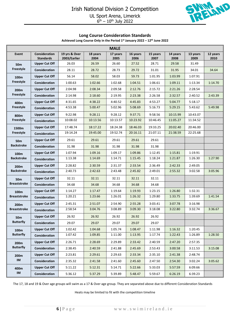

#### **Long Course Consideration Standards**

**Achieved Long Course Only in the Period 1st January 2022 – 12th June 2022**

| <b>MALE</b>                             |                                          |                               |                  |                  |                  |                  |                  |                  |                  |
|-----------------------------------------|------------------------------------------|-------------------------------|------------------|------------------|------------------|------------------|------------------|------------------|------------------|
| Event                                   | <b>Consideration</b><br><b>Standards</b> | 19 yrs & Over<br>2003/Earlier | 18 years<br>2004 | 17 years<br>2005 | 16 years<br>2006 | 15 years<br>2007 | 14 years<br>2008 | 13 years<br>2009 | 12 years<br>2010 |
| 50 <sub>m</sub>                         | <b>Upper Cut Off</b>                     | 26.03                         | 26.59            | 26.60            | 27.52            | 28.71            | 29.58            | 31.49            |                  |
| Freestyle                               | <b>Consideration</b>                     | 28.11                         | 28.72            | 28.73            | 29.72            | 31.01            | 31.95            | 34.01            | 34.64            |
| 100 <sub>m</sub>                        | <b>Upper Cut Off</b>                     | 56.14                         | 58.02            | 58.03            | 59.73            | 1:01.95          | 1:03.99          | 1:07.91          |                  |
| Freestyle                               | <b>Consideration</b>                     | 1:00.63                       | 1:02.66          | 1:02.68          | 1:04.51          | 1:06.61          | 1:09.11          | 1:13.34          | 1:14.70          |
| 200 <sub>m</sub><br>Freestyle           | <b>Upper Cut Off</b>                     | 2:04.98                       | 2:08.34          | 2:09.58          | 2:12.76          | 2:15.72          | 2:21.26          | 2:28.54          |                  |
|                                         | <b>Consideration</b>                     | 2:14.98                       | 2:18.60          | 2:19.95          | 2:23.38          | 2:26.58          | 2:32.57          | 2:40.52          | 2:43.39          |
| 400m                                    | <b>Upper Cut Off</b>                     | 4:31.65                       | 4:38.22          | 4:40.52          | 4:45.83          | 4:53.27          | 5:04.77          | 5:18.17          |                  |
| Freestyle                               | Consideration                            | 4:53.38                       | 5:00.47          | 5:02.96          | 5:08.69          | 5:16.73          | 5:29.15          | 5:43.62          | 5:49.98          |
| 800m                                    | <b>Upper Cut Off</b>                     | 9:22.98                       | 9:28.11          | 9:28.12          | 9:37.71          | 9:58.56          | 10:15.99         | 10:43.07         |                  |
| Freestyle                               | Consideration                            | 10:08.02                      | 10:13.56         | 10:13.57         | 10:23.92         | 10:46.45         | 11:05.27         | 11:34.52         |                  |
| 1500m                                   | <b>Upper Cut Off</b>                     | 17:48.74                      | 18:17.22         | 18:24.38         | 18:46.03         | 19:33.25         | 20:02.40         | 20:46.00         |                  |
| Freestyle                               | <b>Consideration</b>                     | 19:14.24                      | 19:45.00         | 19:52.74         | 20:16.11         | 21:07.11         | 21:38.59         | 22:25.68         |                  |
| 50 <sub>m</sub>                         | <b>Upper Cut Off</b>                     | 29.61                         | 29.61            | 29.61            | 29.61            | 29.61            |                  |                  |                  |
| <b>Backstroke</b>                       | <b>Consideration</b>                     | 31.98                         | 31.98            | 31.98            | 31.98            | 31.98            |                  |                  |                  |
| 100 <sub>m</sub><br><b>Backstroke</b>   | <b>Upper Cut Off</b>                     | 1:07.94                       | 1:09.16          | 1:09.17          | 1:09.86          | 1:12.45          | 1:15.81          | 1:19.91          |                  |
|                                         | <b>Consideration</b>                     | 1:13.38                       | 1:14.69          | 1:14.71          | 1:15.45          | 1:18.24          | 1:21.87          | 1:26.30          | 1:27.90          |
| 200 <sub>m</sub><br><b>Backstroke</b>   | <b>Upper Cut Off</b>                     | 2:28.82                       | 2:30.59          | 2:31.37          | 2:33.54          | 2:36.49          | 2:42.33          | 2:49.05          |                  |
|                                         | <b>Consideration</b>                     | 2:40.73                       | 2:42.63          | 2:43.48          | 2:45.82          | 2:49.01          | 2:55.32          | 3:02.58          | 3:05.96          |
| 50 <sub>m</sub>                         | <b>Upper Cut Off</b>                     | 32.11                         | 32.11            | 32.11            | 32.11            | 32.11            |                  |                  |                  |
| <b>Breaststroke</b>                     | <b>Consideration</b>                     | 34.68                         | 34.68            | 34.68            | 34.68            | 34.68            |                  |                  |                  |
| 100 <sub>m</sub><br><b>Breaststroke</b> | <b>Upper Cut Off</b>                     | 1:14.27                       | 1:17.47          | 1:19.64          | 1:19.93          | 1:23.15          | 1:26.80          | 1:32.31          |                  |
|                                         | <b>Consideration</b>                     | 1:20.21                       | 1:23.66          | 1:26.01          | 1:26.32          | 1:29.80          | 1:33.75          | 1:39.69          | 1:41.54          |
| 200 <sub>m</sub>                        | <b>Upper Cut Off</b>                     | 2:45.31                       | 2:51.07          | 2:54.90          | 2:55.28          | 3:03.41          | 3:07.78          | 3:16.98          |                  |
| <b>Breaststroke</b>                     | <b>Consideration</b>                     | 2:58.54                       | 3:04.76          | 3:08.89          | 3:09.30          | 3:18.08          | 3:22.80          | 3:32.74          | 3:36.67          |
| 50m                                     | <b>Upper Cut Off</b>                     | 26.92                         | 26.92            | 26.92            | 26.92            | 26.92            |                  |                  |                  |
| <b>Butterfly</b>                        | Consideration                            | 29.07                         | 29.07            | 29.07            | 29.07            | 29.07            |                  |                  |                  |
| 100m                                    | <b>Upper Cut Off</b>                     | 1:02.42                       | 1:04.68          | 1:05.74          | 1:08.47          | 1:11.98          | 1:16.32          | 1:20.45          |                  |
| <b>Butterfly</b>                        | Consideration                            | 1:07.42                       | 1:09.85          | 1:11.00          | 1:13.95          | 1:17.74          | 1:22.43          | 1:26.89          | 1:28.50          |
| 200m                                    | <b>Upper Cut Off</b>                     | 2:26.71                       | 2:28.69          | 2:29.89          | 2:33.42          | 2:40.59          | 2:47.20          | 2:57.35          |                  |
| <b>Butterfly</b>                        | Consideration                            | 2:38.45                       | 2:40.59          | 2:41.88          | 2:45.69          | 2:53.43          | 3:00.58          | 3:11.53          | 3:15.08          |
| 200m                                    | <b>Upper Cut Off</b>                     | 2:23.81                       | 2:29.61          | 2:29.63          | 2:33.34          | 2:35.10          | 2:41.38          | 2:48.74          |                  |
| IM                                      | <b>Consideration</b>                     | 2:35.32                       | 2:41.58          | 2:41.60          | 2:45.60          | 2:47.50          | 2:54.30          | 3:02.24          | 3:05.62          |
| 400m                                    | <b>Upper Cut Off</b>                     | 5:11.22                       | 5:12.31          | 5:14.71          | 5:22.66          | 5:33.03          | 5:57.59          | 6:09.66          |                  |
| IM                                      | Consideration                            | 5:36.12                       | 5:37.29          | 5:39.89          | 5:48.47          | 5:59.67          | 6:26.19          | 6:39.23          |                  |

The 17, 18 and 19 & Over age groups will swim as a 17 & Over age group. They are separated above due to different Consideration Standards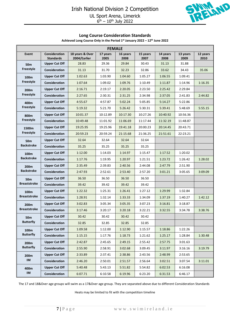

#### **Long Course Consideration Standards**

| Achieved Long Course Only in the Period 1st January 2022 - 12th June 2022 |  |
|---------------------------------------------------------------------------|--|
|---------------------------------------------------------------------------|--|

| <b>FEMALE</b>                          |                                          |                                 |                  |                  |                  |                  |                  |                  |  |
|----------------------------------------|------------------------------------------|---------------------------------|------------------|------------------|------------------|------------------|------------------|------------------|--|
| Event                                  | <b>Consideration</b><br><b>Standards</b> | 18 years & Over<br>2004/Earlier | 17 years<br>2005 | 16 years<br>2008 | 15 years<br>2007 | 14 years<br>2008 | 13 years<br>2009 | 12 years<br>2010 |  |
| 50 <sub>m</sub>                        | <b>Upper Cut Off</b>                     | 28.83                           | 29.36            | 29.84            | 30.43            | 31.13            | 31.88            |                  |  |
| Freestyle                              | <b>Consideration</b>                     | 31.13                           | 31.70            | 32.23            | 32.86            | 33.62            | 34.43            | 35.06            |  |
| 100 <sub>m</sub><br>Freestyle          | <b>Upper Cut Off</b>                     | 1:02.63                         | 1:03.90          | 1:04.60          | 1:05.27          | 1:06.55          | 1:09.41          |                  |  |
|                                        | Consideration                            | 1:07.64                         | 1:09.02          | 1:09.76          | 1:10.49          | 1:11.87          | 1:14.96          | 1:16.35          |  |
| 200 <sub>m</sub><br>Freestyle<br>400m  | <b>Upper Cut Off</b>                     | 2:16.71                         | 2:19.17          | 2:20.05          | 2:23.50          | 2:25.42          | 2:29.84          |                  |  |
|                                        | Consideration                            | 2:27.65                         | 2:30.31          | 2:31.25          | 2:34.98          | 2:37.05          | 2:41.83          | 2:44.82          |  |
| Freestyle                              | <b>Upper Cut Off</b>                     | 4:55.67                         | 4:57.87          | 5:02.24          | 5:05.85          | 5:14.27          | 5:22.86          |                  |  |
|                                        | Consideration                            | 5:19.32                         | 5:21.70          | 5:26.42          | 5:30.31          | 5:39.41          | 5:48.69          | 5:55.15          |  |
| 800m<br>Freestyle                      | <b>Upper Cut Off</b>                     | 10:01.37                        | 10:12.89         | 10:17.30         | 10:27.26         | 10:40.92         | 10:56.36         |                  |  |
|                                        | <b>Consideration</b>                     | 10:49.48                        | 11:01.92         | 11:06.69         | 11:17.44         | 11:32.19         | 11:48.87         |                  |  |
| 1500m                                  | <b>Upper Cut Off</b>                     | 19:25.95                        | 19:25.96         | 19:41.18         | 20:00.23         | 20:14.45         | 20:43.71         |                  |  |
| Freestyle                              | Consideration                            | 20:59.23                        | 20:59.24         | 21:15.68         | 21:36.25         | 21:51.61         | 22:23.21         |                  |  |
| 50 <sub>m</sub><br><b>Backstroke</b>   | <b>Upper Cut Off</b>                     | 32.64                           | 32.64            | 32.64            | 32.64            |                  |                  |                  |  |
|                                        | Consideration                            | 35.25                           | 35.25            | 35.25            | 35.25            |                  |                  |                  |  |
| 100 <sub>m</sub><br><b>Backstroke</b>  | <b>Upper Cut Off</b>                     | 1:12.00                         | 1:14.03          | 1:14.97          | 1:15.47          | 1:17.52          | 1:20.02          |                  |  |
|                                        | Consideration                            | 1:17.76                         | 1:19.95          | 1:20.97          | 1:21.51          | 1:23.72          | 1:26.42          | 1:28.02          |  |
| 200 <sub>m</sub><br><b>Backstroke</b>  | <b>Upper Cut Off</b>                     | 2:35.49                         | 2:39.83          | 2:40.56          | 2:44.08          | 2:47.79          | 2:51.90          |                  |  |
|                                        | Consideration                            | 2:47.93                         | 2:52.61          | 2:53.40          | 2:57.20          | 3:01.21          | 3:05.65          | 3:09.09          |  |
| 50 <sub>m</sub><br><b>Breaststroke</b> | <b>Upper Cut Off</b>                     | 36.50                           | 36.50            | 36.50            | 36.50            |                  |                  |                  |  |
|                                        | Consideration                            | 39.42                           | 39.42            | 39.42            | 39.42            |                  |                  |                  |  |
| 100 <sub>m</sub>                       | <b>Upper Cut Off</b>                     | 1:22.32                         | 1:25.31          | 1:26.41          | 1:27.12          | 1:29.99          | 1:32.84          |                  |  |
| <b>Breaststroke</b>                    | Consideration                            | 1:28.91                         | 1:32.14          | 1:33.33          | 1:34.09          | 1:37.19          | 1:40.27          | 1:42.12          |  |
| 200 <sub>m</sub>                       | <b>Upper Cut Off</b>                     | 3:02.83                         | 3:05.34          | 3:05.35          | 3:07.23          | 3:16.81          | 3:18.87          |                  |  |
| <b>Breaststroke</b>                    | <b>Consideration</b>                     | 3:17.46                         | 3:20.17          | 3:20.18          | 3:22.21          | 3:32.55          | 3:34.78          | 3:38.76          |  |
| 50 <sub>m</sub>                        | <b>Upper Cut Off</b>                     | 30.42                           | 30.42            | 30.42            | 30.42            |                  |                  |                  |  |
| <b>Butterfly</b>                       | Consideration                            | 32.85                           | 32.85            | 32.85            | 32.85            |                  |                  |                  |  |
| 100 <sub>m</sub>                       | <b>Upper Cut Off</b>                     | 1:09.58                         | 1:12.00          | 1:12.90          | 1:15.57          | 1:18.86          | 1:22.26          |                  |  |
| <b>Butterfly</b>                       | Consideration                            | 1:15.15                         | 1:17.76          | 1:18.73          | 1:21.62          | 1:25.17          | 1:28.84          | 1:30.48          |  |
| 200 <sub>m</sub>                       | <b>Upper Cut Off</b>                     | 2:42.87                         | 2:45.65          | 2:49.15          | 2:55.42          | 2:57.75          | 3:01.63          |                  |  |
| <b>Butterfly</b>                       | Consideration                            | 2:55.90                         | 2:58.91          | 3:02.68          | 3:09.45          | 3:11.97          | 3:16.16          | 3:19.79          |  |
| 200m                                   | <b>Upper Cut Off</b>                     | 2:33.89                         | 2:37.41          | 2:38.86          | 2:43.56          | 2:48.99          | 2:53.65          |                  |  |
| $\mathsf{IM}$                          | Consideration                            | 2:46.20                         | 2:50.01          | 2:51.57          | 2:56.64          | 3:02.51          | 3:07.54          | 3:11.01          |  |
| 400m                                   | <b>Upper Cut Off</b>                     | 5:40.48                         | 5:43.13          | 5:51.82          | 5:54.82          | 6:02.53          | 6:16.08          |                  |  |
| IM                                     | Consideration                            | 6:07.71                         | 6:10.58          | 6:19.96          | 6:23.20          | 6:31.53          | 6:46.17          |                  |  |

The 17 and 18&Over age groups will swim as a 17&Over age group. They are separated above due to different Consideration Standards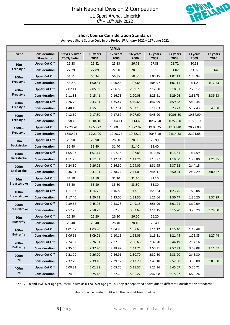

#### **Short Course Consideration Standards**

**Achieved Short Course Only in the Period 1st January 2022 – 12th June 2022**

| <b>MALE</b>                   |                                          |                               |                  |                  |                  |                  |                  |                  |                  |  |
|-------------------------------|------------------------------------------|-------------------------------|------------------|------------------|------------------|------------------|------------------|------------------|------------------|--|
| Event                         | <b>Consideration</b><br><b>Standards</b> | 19 yrs & Over<br>2003/Earlier | 18 years<br>2004 | 17 years<br>2005 | 16 years<br>2006 | 15 years<br>2007 | 14 years<br>2008 | 13 years<br>2009 | 12 years<br>2010 |  |
| 50m                           | <b>Upper Cut Off</b>                     | 25.28                         | 25.82            | 25.83            | 26.72            | 27.88            | 28.72            | 30.58            |                  |  |
| Freestyle                     | Consideration                            | 27.29                         | 27.89            | 27.90            | 28.86            | 30.11            | 31.02            | 33.02            | 33.64            |  |
| 100m<br>Freestyle             | <b>Upper Cut Off</b>                     | 54.51                         | 56.34            | 56.35            | 58.00            | 1:00.15          | 1:02.13          | 1:05.94          |                  |  |
|                               | Consideration                            | 58.87                         | 1:00.84          | 1:00.86          | 1:02.64          | 1:04.97          | 1:07.11          | 1:11.21          | 1:12.53          |  |
| 200 <sub>m</sub><br>Freestyle | <b>Upper Cut Off</b>                     | 2:02.11                       | 2:05.39          | 2:06.60          | 2:09.71          | 2:12.60          | 2:18.01          | 2:25.12          |                  |  |
|                               | Consideration                            | 2:11.88                       | 2:15.41          | 2:16.73          | 2:20.08          | 2:23.21          | 2:29.06          | 2:36.73          | 2:39.63          |  |
| 400m                          | <b>Upper Cut Off</b>                     | 4:26.76                       | 4:33.31          | 4:35.47          | 4:40.68          | 4:47.99          | 4:59.28          | 5:12.44          |                  |  |
| Freestyle                     | Consideration                            | 4:48.10                       | 4:55.06          | 4:57.51          | 5:03.13          | 5:11.03          | 5:23.23          | 5:37.43          | 5:43.68          |  |
| 800m                          | <b>Upper Cut Off</b>                     | 9:12.60                       | 9:17.80          | 9:17.82          | 9:27.60          | 9:48.90          | 10:06.50         | 10:34.00         |                  |  |
| <b>Freestyle</b>              | Consideration                            | 9:58.40                       | 10:04.10         | 10:04.11         | 10:14.60         | 10:37.50         | 10:56.50         | 11:26.10         |                  |  |
| 1500m                         | <b>Upper Cut Off</b>                     | 17:29.20                      | 17:53.22         | 18:00.38         | 18:22.02         | 19:09.25         | 19:38.40         | 20:22.00         |                  |  |
| Freestyle                     | Consideration                            | 18:50.24                      | 19:21.00         | 19:28.74         | 19:52.10         | 20:43.10         | 21:14.58         | 22:01.68         |                  |  |
| 50m                           | <b>Upper Cut Off</b>                     | 28.90                         | 28.90            | 28.90            | 28.90            | 28.90            |                  |                  |                  |  |
| <b>Backstroke</b>             | Consideration                            | 31.40                         | 31.40            | 31.40            | 31.40            | 31.40            |                  |                  |                  |  |
| 100m<br><b>Backstroke</b>     | <b>Upper Cut Off</b>                     | 1:05.97                       | 1:07.15          | 1:07.16          | 1:07.83          | 1:10.35          | 1:13.61          | 1:17.59          |                  |  |
|                               | Consideration                            | 1:11.25                       | 1:12.52          | 1:12.54          | 1:13.26          | 1:15.97          | 1:19.50          | 1:23.80          | 1:25.35          |  |
| 200m<br><b>Backstroke</b>     | <b>Upper Cut Off</b>                     | 2:24.50                       | 2:26.22          | 2:26.90          | 2:29.09          | 2:31.95          | 2:37.62          | 2:44.15          |                  |  |
|                               | Consideration                            | 2:36.31                       | 2:37.91          | 2:38.74          | 2:41.01          | 2:44.11          | 2:50.24          | 2:57.29          | 3:00.57          |  |
| 50m                           | <b>Upper Cut Off</b>                     | 31.10                         | 31.10            | 31.10            | 31.10            | 31.10            |                  |                  |                  |  |
| <b>Breaststroke</b>           | Consideration                            | 33.80                         | 33.80            | 33.80            | 33.80            | 33.80            |                  |                  |                  |  |
| 100m<br><b>Breaststroke</b>   | <b>Upper Cut Off</b>                     | 1:11.67                       | 1:14.76          | 1:16.85          | 1:17.13          | 1:20.24          | 1:23.76          | 1:29.08          |                  |  |
|                               | Consideration                            | 1:17.40                       | 1:20.73          | 1:23.00          | 1:23.30          | 1:26.66          | 1:30.47          | 1:36.20          | 1:37.99          |  |
| 200m                          | <b>Upper Cut Off</b>                     | 2:39.52                       | 2:45.08          | 2:48.78          | 2:49.15          | 2:56.99          | 3:01.21          | 3:10.09          |                  |  |
| <b>Breaststroke</b>           | Consideration                            | 2:52.29                       | 2:58.29          | 3:02.28          | 3:02.67          | 3:11.15          | 3:15.70          | 3:25.29          | 3:28.80          |  |
| 50 <sub>m</sub>               | <b>Upper Cut Off</b>                     | 26.20                         | 26.20            | 26.20            | 26.20            | 26.20            |                  |                  |                  |  |
| <b>Butterfly</b>              | Consideration                            | 28.40                         | 28.40            | 28.40            | 28.40            | 28.40            |                  |                  |                  |  |
| 100m                          | <b>Upper Cut Off</b>                     | 1:01.67                       | 1:03.90          | 1:04.95          | 1:07.65          | 1:11.12          | 1:15.40          | 1:19.48          |                  |  |
| <b>Butterfly</b>              | Consideration                            | 1:06.61                       | 1:09.01          | 1:10.15          | 1:13.06          | 1:16.81          | 1:21.44          | 1:25.85          | 1:27.44          |  |
| 200m                          | <b>Upper Cut Off</b>                     | 2:24.07                       | 2:26.01          | 2:27.19          | 2:30.66          | 2:37.70          | 2:44.19          | 2:54.16          |                  |  |
| <b>Butterfly</b>              | Consideration                            | 2:35.60                       | 2:37.70          | 2:38.97          | 2:42.71          | 2:50.31          | 2:57.33          | 3:08.08          | 3:11.57          |  |
| 200m                          | <b>Upper Cut Off</b>                     | 2:21.00                       | 2:26.90          | 2:26.91          | 2:30.70          | 2:32.50          | 2:38.90          | 2:46.30          |                  |  |
| IM                            | Consideration                            | 2:32.70                       | 2:39.10          | 2:39.12          | 2:43.20          | 2:45.10          | 2:52.00          | 3:00.00          | 3:03.50          |  |
| 400m                          | <b>Upper Cut Off</b>                     | 5:00.33                       | 5:01.38          | 5:03.70          | 5:11.37          | 5:21.36          | 5:45.07          | 5:56.72          |                  |  |
| IM                            | Consideration                            | 5:24.36                       | 5:25.48          | 5:27.60          | 5:36.27          | 5:47.08          | 6:15.57          | 6:25.26          |                  |  |

The 17, 18 and 19&Over age groups will swim as a 17&Over age group. They are separated above due to different Consideration Standards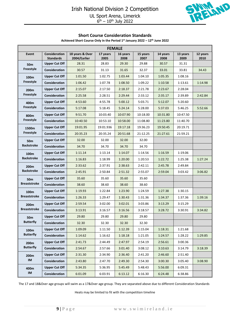

#### **Short Course Consideration Standards**

| <b>FEMALE</b>                                     |                                   |                                 |                  |                  |                  |                  |                  |                  |  |  |
|---------------------------------------------------|-----------------------------------|---------------------------------|------------------|------------------|------------------|------------------|------------------|------------------|--|--|
| Event                                             | Consideration<br><b>Standards</b> | 18 years & Over<br>2004/Earlier | 17 years<br>2005 | 16 years<br>2008 | 15 years<br>2007 | 14 years<br>2008 | 13 years<br>2009 | 12 years<br>2010 |  |  |
| 50 <sub>m</sub>                                   | <b>Upper Cut Off</b>              | 28.31                           | 28.83            | 29.30            | 29.88            | 30.57            | 31.31            |                  |  |  |
| Freestyle                                         | Consideration                     | 30.57                           | 31.13            | 31.65            | 32.37            | 33.01            | 33.81            | 34.43            |  |  |
| 100 <sub>m</sub><br>Freestyle<br>200 <sub>m</sub> | <b>Upper Cut Off</b>              | 1:01.50                         | 1:02.75          | 1:03.44          | 1:04.10          | 1:05.35          | 1:08.16          |                  |  |  |
|                                                   | Consideration                     | 1:06.42                         | 1:07.78          | 1:08.50          | 1:09.22          | 1:10.58          | 1:13.61          | 1:14.98          |  |  |
| Freestyle                                         | <b>Upper Cut Off</b>              | 2:15.07                         | 2:17.50          | 2:18.37          | 2:21.78          | 2:23.67          | 2:28.04          |                  |  |  |
|                                                   | Consideration                     | 2:25.58                         | 2:28.51          | 2:29.44          | 2:33.12          | 2:35.17          | 2:39.89          | 2:42.84          |  |  |
| 400m<br>Freestyle                                 | <b>Upper Cut Off</b>              | 4:53.60                         | 4:55.78          | 5:00.12          | 5:03.71          | 5:12.07          | 5:20.60          |                  |  |  |
|                                                   | <b>Consideration</b>              | 5:17.08                         | 5:18.45          | 5:24.14          | 5:28.00          | 5:37.03          | 5:46.25          | 5:52.66          |  |  |
| 800m<br>Freestyle                                 | <b>Upper Cut Off</b>              | 9:51.70                         | 10:03.40         | 10:07.90         | 10:18.00         | 10:31.80         | 10:47.50         |                  |  |  |
|                                                   | <b>Consideration</b>              | 10:40.50                        | 10:53.10         | 10:58.00         | 11:08.80         | 11:23.80         | 11:40.70         |                  |  |  |
| 1500m                                             | <b>Upper Cut Off</b>              | 19:01.95                        | 19:01.936        | 19:17.18         | 19:36.23         | 19:50.45         | 20:19.71         |                  |  |  |
| Freestyle                                         | Consideration                     | 20:35.23                        | 20:35.24         | 20:51.68         | 21:12.25         | 21:27.61         | 21:59.21         |                  |  |  |
| 50 <sub>m</sub><br><b>Backstroke</b>              | <b>Upper Cut Off</b>              | 32.00                           | 32.00            | 32.00            | 32.00            |                  |                  |                  |  |  |
|                                                   | Consideration                     | 34.70                           | 34.70            | 34.70            | 34.70            |                  |                  |                  |  |  |
| 100 <sub>m</sub><br><b>Backstroke</b>             | <b>Upper Cut Off</b>              | 1:11.14                         | 1:13.14          | 1:14.07          | 1:14.56          | 1:16.59          | 1:19.06          |                  |  |  |
|                                                   | Consideration                     | 1:16.83                         | 1:18.99          | 1:20.00          | 1:20.53          | 1:22.72          | 1:25.38          | 1:27.24          |  |  |
| 200 <sub>m</sub><br><b>Backstroke</b>             | <b>Upper Cut Off</b>              | 2:33.62                         | 2:37.91          | 2:38.63          | 2:42.11          | 2:45.78          | 2:49.84          |                  |  |  |
|                                                   | Consideration                     | 2:45.91                         | 2:50.84          | 2:51.32          | 2:55.07          | 2:59.04          | 3:03.42          | 3:06.82          |  |  |
| 50 <sub>m</sub>                                   | <b>Upper Cut Off</b>              | 35.60                           | 35.60            | 35.60            | 35.60            |                  |                  |                  |  |  |
| <b>Breaststroke</b>                               | Consideration                     | 38.60                           | 38.60            | 38.60            | 38.60            |                  |                  |                  |  |  |
| 100 <sub>m</sub>                                  | <b>Upper Cut Off</b>              | 1:19.93                         | 1:22.84          | 1:23.90          | 1:24.59          | 1:27.38          | 1:30.15          |                  |  |  |
| <b>Breaststroke</b>                               | Consideration                     | 1:26.33                         | 1:29.47          | 1:30.43          | 1:31.36          | 1:34.37          | 1:37.36          | 1:39.16          |  |  |
| 200 <sub>m</sub>                                  | <b>Upper Cut Off</b>              | 2:59.54                         | 3:02.00          | 3:02.01          | 3:03.86          | 3:13.29          | 3:15.29          |                  |  |  |
| <b>Breaststroke</b>                               | <b>Consideration</b>              | 3:13.91                         | 3:16.57          | 3:16.56          | 3:18.57          | 3:28.72          | 3:30.91          | 3:34.82          |  |  |
| 50m                                               | <b>Upper Cut Off</b>              | 29.80                           | 29.80            | 29.80            | 29.80            |                  |                  |                  |  |  |
| <b>Butterfly</b>                                  | <b>Consideration</b>              | 32.30                           | 32.30            | 32.30            | 32.30            |                  |                  |                  |  |  |
| 100m                                              | <b>Upper Cut Off</b>              | 1:09.09                         | 1:11.50          | 1:12.39          | 1:15.04          | 1:18.31          | 1:21.68          |                  |  |  |
| <b>Butterfly</b>                                  | Consideration                     | 1:14.62                         | 1:16.62          | 1:18.18          | 1:21.05          | 1:24.57          | 1:28.22          | 1:29.85          |  |  |
| 200m                                              | <b>Upper Cut Off</b>              | 2:41.73                         | 2:44.49          | 2:47.97          | 2:54.19          | 2:56.61          | 3:00.36          |                  |  |  |
| <b>Butterfly</b>                                  | Consideration                     | 2:54.67                         | 2:57.66          | 3:01.40          | 3:08.12          | 3:10.63          | 3:14.79          | 3:18.39          |  |  |
| 200m                                              | <b>Upper Cut Off</b>              | 2:31.30                         | 2:34.90          | 2:36.40          | 2:41.20          | 2:46.60          | 2:51.40          |                  |  |  |
| $\mathsf{IM}{}$                                   | Consideration                     | 2:43.80                         | 2:47.70          | 2:49.30          | 2:54.30          | 3:00.30          | 3:05.40          | 3:08.90          |  |  |
| 400m                                              | <b>Upper Cut Off</b>              | 5:34.35                         | 5:36.95          | 5:45.49          | 5:48.43          | 5:56.00          | 6:09.31          |                  |  |  |
| IM                                                | Consideration                     | 6:01.09                         | 6:03.91          | 6:13.12          | 6:16.30          | 6:24.48          | 6:38.86          |                  |  |  |

**Achieved Short Course Only in the Period 1st January 2022 – 12th June 2022**

The 17 and 18&Over age groups will swim as a 17&Over age group. They are separated above due to different Consideration Standards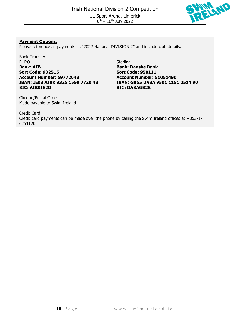

#### **Payment Options:**

Please reference all payments as "2022 National DIVISION 2" and include club details.

Bank Transfer: EURO Sterling **Bank: AIB Bank: Danske Bank Sort Code: 932515 Sort Code: 950111 Account Number: 59772048 Account Number: 51051490 BIC: AIBKIE2D BIC: DABAGB2B**

Cheque/Postal Order: Made payable to Swim Ireland

**IBAN: IE03 AIBK 9325 1559 7720 48 IBAN: GB55 DABA 9501 1151 0514 90**

Credit Card: Credit card payments can be made over the phone by calling the Swim Ireland offices at +353-1- 6251120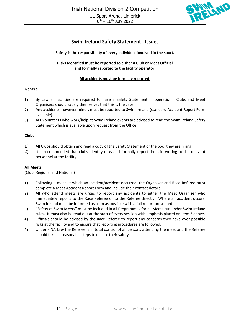

#### **Swim Ireland Safety Statement - Issues**

#### **Safety is the responsibility of every individual involved in the sport.**

#### **Risks identified must be reported to either a Club or Meet Official and formally reported to the facility operator.**

#### **All accidents must be formally reported.**

#### **General**

- **1)** By Law all facilities are required to have a Safety Statement in operation. Clubs and Meet Organisers should satisfy themselves that this is the case.
- **2)** Any accidents, however minor, must be reported to Swim Ireland (standard Accident Report Form available).
- **3)** ALL volunteers who work/help at Swim Ireland events are advised to read the Swim Ireland Safety Statement which is available upon request from the Office.

#### **Clubs**

- **1)** All Clubs should obtain and read a copy of the Safety Statement of the pool they are hiring.
- **2)** It is recommended that clubs identify risks and formally report them in writing to the relevant personnel at the facility.

#### **All Meets**

(Club, Regional and National)

- **1)** Following a meet at which an incident/accident occurred, the Organiser and Race Referee must complete a Meet Accident Report Form and include their contact details.
- **2)** All who attend meets are urged to report any accidents to either the Meet Organiser who immediately reports to the Race Referee or to the Referee directly. Where an accident occurs, Swim Ireland must be informed as soon as possible with a full report presented.
- **3)** "Safety at Swim Meets" must be included in all Programmes for all Meets run under Swim Ireland rules. It must also be read out at the start of every session with emphasis placed on item 3 above.
- **4)** Officials should be advised by the Race Referee to report any concerns they have over possible risks at the facility and to ensure that reporting procedures are followed.
- **5)** Under FINA Law the Referee is in total control of all persons attending the meet and the Referee should take all reasonable steps to ensure their safety.